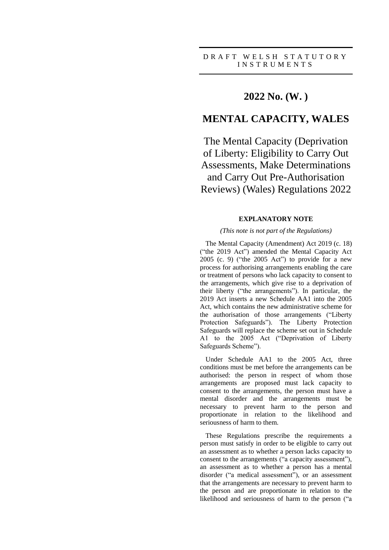# **2022 No. (W. )**

# **MENTAL CAPACITY, WALES**

The Mental Capacity (Deprivation of Liberty: Eligibility to Carry Out Assessments, Make Determinations and Carry Out Pre-Authorisation Reviews) (Wales) Regulations 2022

### **EXPLANATORY NOTE**

### *(This note is not part of the Regulations)*

The Mental Capacity (Amendment) Act 2019 (c. 18) ("the 2019 Act") amended the Mental Capacity Act 2005 (c. 9) ("the 2005 Act") to provide for a new process for authorising arrangements enabling the care or treatment of persons who lack capacity to consent to the arrangements, which give rise to a deprivation of their liberty ("the arrangements"). In particular, the 2019 Act inserts a new Schedule AA1 into the 2005 Act, which contains the new administrative scheme for the authorisation of those arrangements ("Liberty Protection Safeguards"). The Liberty Protection Safeguards will replace the scheme set out in Schedule A1 to the 2005 Act ("Deprivation of Liberty Safeguards Scheme").

Under Schedule AA1 to the 2005 Act, three conditions must be met before the arrangements can be authorised: the person in respect of whom those arrangements are proposed must lack capacity to consent to the arrangements, the person must have a mental disorder and the arrangements must be necessary to prevent harm to the person and proportionate in relation to the likelihood and seriousness of harm to them.

These Regulations prescribe the requirements a person must satisfy in order to be eligible to carry out an assessment as to whether a person lacks capacity to consent to the arrangements ("a capacity assessment"), an assessment as to whether a person has a mental disorder ("a medical assessment"), or an assessment that the arrangements are necessary to prevent harm to the person and are proportionate in relation to the likelihood and seriousness of harm to the person ("a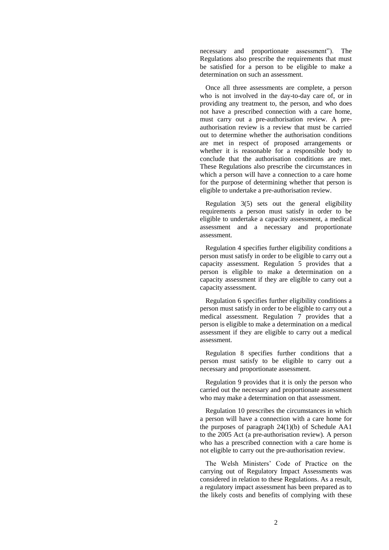necessary and proportionate assessment"). The Regulations also prescribe the requirements that must be satisfied for a person to be eligible to make a determination on such an assessment.

Once all three assessments are complete, a person who is not involved in the day-to-day care of, or in providing any treatment to, the person, and who does not have a prescribed connection with a care home, must carry out a pre-authorisation review. A preauthorisation review is a review that must be carried out to determine whether the authorisation conditions are met in respect of proposed arrangements or whether it is reasonable for a responsible body to conclude that the authorisation conditions are met. These Regulations also prescribe the circumstances in which a person will have a connection to a care home for the purpose of determining whether that person is eligible to undertake a pre-authorisation review.

Regulation 3(5) sets out the general eligibility requirements a person must satisfy in order to be eligible to undertake a capacity assessment, a medical assessment and a necessary and proportionate assessment.

Regulation 4 specifies further eligibility conditions a person must satisfy in order to be eligible to carry out a capacity assessment. Regulation 5 provides that a person is eligible to make a determination on a capacity assessment if they are eligible to carry out a capacity assessment.

Regulation 6 specifies further eligibility conditions a person must satisfy in order to be eligible to carry out a medical assessment. Regulation 7 provides that a person is eligible to make a determination on a medical assessment if they are eligible to carry out a medical assessment.

Regulation 8 specifies further conditions that a person must satisfy to be eligible to carry out a necessary and proportionate assessment.

Regulation 9 provides that it is only the person who carried out the necessary and proportionate assessment who may make a determination on that assessment.

Regulation 10 prescribes the circumstances in which a person will have a connection with a care home for the purposes of paragraph 24(1)(b) of Schedule AA1 to the 2005 Act (a pre-authorisation review). A person who has a prescribed connection with a care home is not eligible to carry out the pre-authorisation review.

The Welsh Ministers' Code of Practice on the carrying out of Regulatory Impact Assessments was considered in relation to these Regulations. As a result, a regulatory impact assessment has been prepared as to the likely costs and benefits of complying with these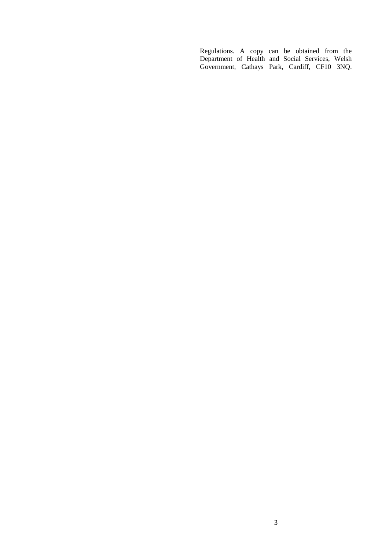Regulations. A copy can be obtained from the Department of Health and Social Services, Welsh Government, Cathays Park, Cardiff, CF10 3NQ.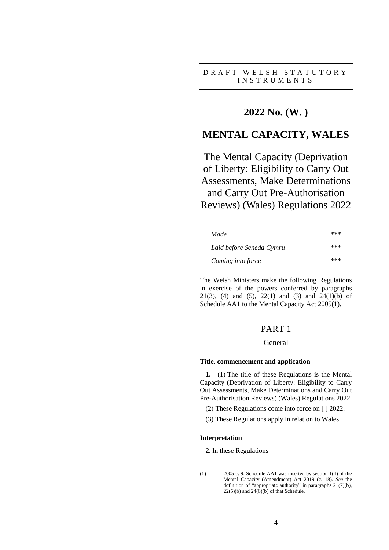## D R A F T W E L S H S T A T U T O R Y I N S T R U M E N T S

# **2022 No. (W. )**

# **MENTAL CAPACITY, WALES**

The Mental Capacity (Deprivation of Liberty: Eligibility to Carry Out Assessments, Make Determinations and Carry Out Pre-Authorisation Reviews) (Wales) Regulations 2022

| Made                     | *** |
|--------------------------|-----|
| Laid before Senedd Cymru | *** |
| Coming into force        | *** |

The Welsh Ministers make the following Regulations in exercise of the powers conferred by paragraphs 21(3), (4) and (5), 22(1) and (3) and 24(1)(b) of Schedule AA1 to the Mental Capacity Act 2005(**1**).

# PART 1

## General

#### **Title, commencement and application**

**1.**—(1) The title of these Regulations is the Mental Capacity (Deprivation of Liberty: Eligibility to Carry Out Assessments, Make Determinations and Carry Out Pre-Authorisation Reviews) (Wales) Regulations 2022.

(2) These Regulations come into force on [ ] 2022.

(3) These Regulations apply in relation to Wales.

#### **Interpretation**

**2.** In these Regulations—

<sup>&</sup>lt;u>.</u> (**1**) 2005 c. 9. Schedule AA1 was inserted by section 1(4) of the Mental Capacity (Amendment) Act 2019 (c. 18). *See* the definition of "appropriate authority" in paragraphs 21(7)(b),  $22(5)(b)$  and  $24(6)(b)$  of that Schedule.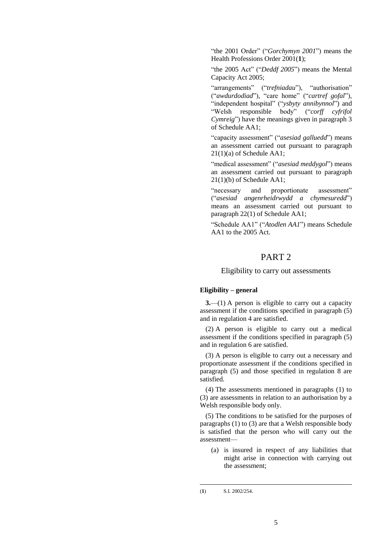"the 2001 Order" ("*Gorchymyn 2001*") means the Health Professions Order 2001(**1**);

"the 2005 Act" ("*Deddf 2005*") means the Mental Capacity Act 2005;

"arrangements" ("*trefniadau*"), "authorisation" ("*awdurdodiad*"), "care home" ("*cartref gofal*"), "independent hospital" ("*ysbyty annibynnol*") and "Welsh responsible body" ("*corff cyfrifol Cymreig*") have the meanings given in paragraph 3 of Schedule AA1;

"capacity assessment" ("*asesiad galluedd*") means an assessment carried out pursuant to paragraph 21(1)(a) of Schedule AA1;

"medical assessment" ("*asesiad meddygol*") means an assessment carried out pursuant to paragraph 21(1)(b) of Schedule AA1;

"necessary and proportionate assessment" ("*asesiad angenrheidrwydd a chymesuredd*") means an assessment carried out pursuant to paragraph 22(1) of Schedule AA1;

"Schedule AA1" ("*Atodlen AA1*") means Schedule AA1 to the 2005 Act.

## PART 2

### Eligibility to carry out assessments

## **Eligibility – general**

**3.**—(1) A person is eligible to carry out a capacity assessment if the conditions specified in paragraph (5) and in regulation 4 are satisfied.

(2) A person is eligible to carry out a medical assessment if the conditions specified in paragraph (5) and in regulation 6 are satisfied.

(3) A person is eligible to carry out a necessary and proportionate assessment if the conditions specified in paragraph (5) and those specified in regulation 8 are satisfied.

(4) The assessments mentioned in paragraphs (1) to (3) are assessments in relation to an authorisation by a Welsh responsible body only.

(5) The conditions to be satisfied for the purposes of paragraphs (1) to (3) are that a Welsh responsible body is satisfied that the person who will carry out the assessment—

(a) is insured in respect of any liabilities that might arise in connection with carrying out the assessment;

<u>.</u>

<sup>(</sup>**1**) S.I. 2002/254.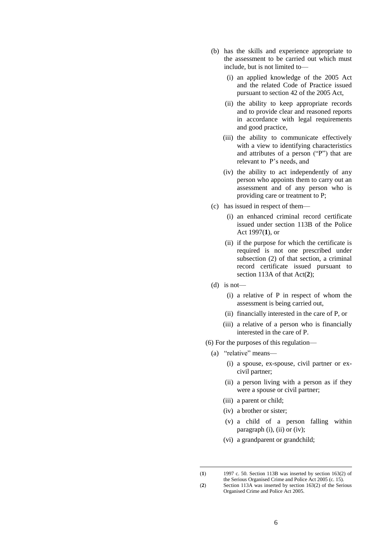- (b) has the skills and experience appropriate to the assessment to be carried out which must include, but is not limited to—
	- (i) an applied knowledge of the 2005 Act and the related Code of Practice issued pursuant to section 42 of the 2005 Act,
	- (ii) the ability to keep appropriate records and to provide clear and reasoned reports in accordance with legal requirements and good practice,
	- (iii) the ability to communicate effectively with a view to identifying characteristics and attributes of a person ("P") that are relevant to P's needs, and
	- (iv) the ability to act independently of any person who appoints them to carry out an assessment and of any person who is providing care or treatment to P;
- (c) has issued in respect of them—
	- (i) an enhanced criminal record certificate issued under section 113B of the Police Act 1997(**1**), or
	- (ii) if the purpose for which the certificate is required is not one prescribed under subsection (2) of that section, a criminal record certificate issued pursuant to section 113A of that Act(**2**);
- (d) is not—

<u>.</u>

- (i) a relative of P in respect of whom the assessment is being carried out,
- (ii) financially interested in the care of P, or
- (iii) a relative of a person who is financially interested in the care of P.
- (6) For the purposes of this regulation—
	- (a) "relative" means—
		- (i) a spouse, ex-spouse, civil partner or excivil partner;
		- (ii) a person living with a person as if they were a spouse or civil partner;
		- (iii) a parent or child;
		- (iv) a brother or sister;
		- (v) a child of a person falling within paragraph (i), (ii) or (iv);
		- (vi) a grandparent or grandchild;

<sup>(</sup>**1**) 1997 c. 50. Section 113B was inserted by section 163(2) of the Serious Organised Crime and Police Act 2005 (c. 15).

<sup>(</sup>**2**) Section 113A was inserted by section 163(2) of the Serious Organised Crime and Police Act 2005.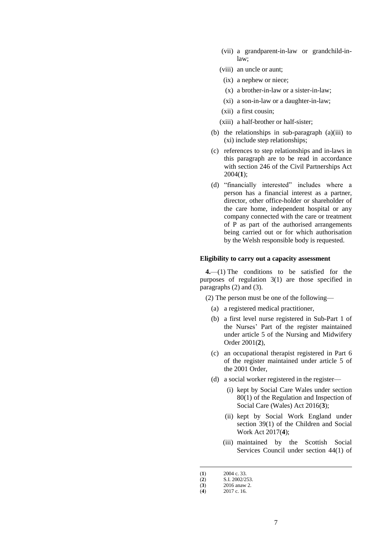- (vii) a grandparent-in-law or grandchild-inlaw;
- (viii) an uncle or aunt;
- (ix) a nephew or niece;
- (x) a brother-in-law or a sister-in-law;
- (xi) a son-in-law or a daughter-in-law;
- (xii) a first cousin;
- (xiii) a half-brother or half-sister;
- (b) the relationships in sub-paragraph (a)(iii) to (xi) include step relationships;
- (c) references to step relationships and in-laws in this paragraph are to be read in accordance with section 246 of the Civil Partnerships Act 2004(**1**);
- (d) "financially interested" includes where a person has a financial interest as a partner, director, other office-holder or shareholder of the care home, independent hospital or any company connected with the care or treatment of P as part of the authorised arrangements being carried out or for which authorisation by the Welsh responsible body is requested.

### **Eligibility to carry out a capacity assessment**

**4.**—(1) The conditions to be satisfied for the purposes of regulation 3(1) are those specified in paragraphs (2) and (3).

(2) The person must be one of the following—

- (a) a registered medical practitioner,
- (b) a first level nurse registered in Sub-Part 1 of the Nurses' Part of the register maintained under article 5 of the Nursing and Midwifery Order 2001(**2**),
- (c) an occupational therapist registered in Part 6 of the register maintained under article 5 of the 2001 Order,
- (d) a social worker registered in the register—
	- (i) kept by Social Care Wales under section 80(1) of the Regulation and Inspection of Social Care (Wales) Act 2016(**3**);
	- (ii) kept by Social Work England under section 39(1) of the Children and Social Work Act 2017(**4**);
	- (iii) maintained by the Scottish Social Services Council under section 44(1) of

<u>.</u>

(3)  $2016$  anaw 2.<br>(4)  $2017$  c. 16.

<sup>(</sup>**1**) 2004 c. 33.

 $(2)$  S.I. 2002/253.

<sup>(</sup>**4**) 2017 c. 16.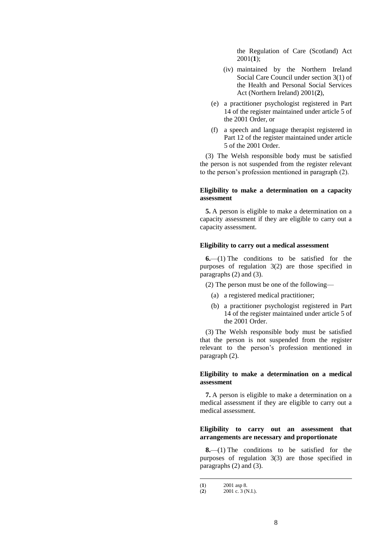the Regulation of Care (Scotland) Act 2001(**1**);

- (iv) maintained by the Northern Ireland Social Care Council under section 3(1) of the Health and Personal Social Services Act (Northern Ireland) 2001(**2**),
- (e) a practitioner psychologist registered in Part 14 of the register maintained under article 5 of the 2001 Order, or
- (f) a speech and language therapist registered in Part 12 of the register maintained under article 5 of the 2001 Order.

(3) The Welsh responsible body must be satisfied the person is not suspended from the register relevant to the person's profession mentioned in paragraph (2).

### **Eligibility to make a determination on a capacity assessment**

**5.** A person is eligible to make a determination on a capacity assessment if they are eligible to carry out a capacity assessment.

### **Eligibility to carry out a medical assessment**

**6.**—(1) The conditions to be satisfied for the purposes of regulation 3(2) are those specified in paragraphs (2) and (3).

(2) The person must be one of the following—

- (a) a registered medical practitioner;
- (b) a practitioner psychologist registered in Part 14 of the register maintained under article 5 of the 2001 Order.

(3) The Welsh responsible body must be satisfied that the person is not suspended from the register relevant to the person's profession mentioned in paragraph (2).

### **Eligibility to make a determination on a medical assessment**

**7.** A person is eligible to make a determination on a medical assessment if they are eligible to carry out a medical assessment.

### **Eligibility to carry out an assessment that arrangements are necessary and proportionate**

**8.**—(1) The conditions to be satisfied for the purposes of regulation 3(3) are those specified in paragraphs (2) and (3).

<u>.</u>

<sup>(</sup>**1**)  $2001 \text{ asp } 8.$ <br>(**2**)  $2001 \text{ c. } 3 \text{ (b)}$ 

<sup>(</sup>**2**) 2001 c. 3 (N.I.).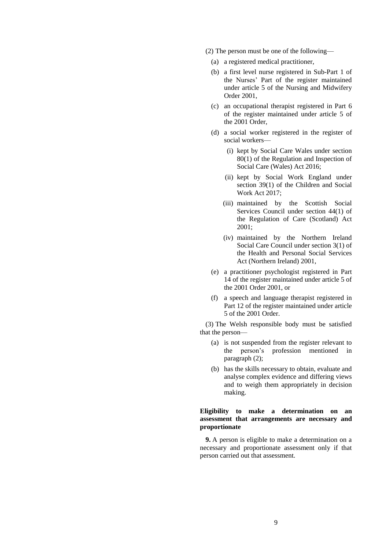- (2) The person must be one of the following—
	- (a) a registered medical practitioner,
	- (b) a first level nurse registered in Sub-Part 1 of the Nurses' Part of the register maintained under article 5 of the Nursing and Midwifery Order 2001,
	- (c) an occupational therapist registered in Part 6 of the register maintained under article 5 of the 2001 Order,
	- (d) a social worker registered in the register of social workers—
		- (i) kept by Social Care Wales under section 80(1) of the Regulation and Inspection of Social Care (Wales) Act 2016;
		- (ii) kept by Social Work England under section 39(1) of the Children and Social Work Act 2017;
		- (iii) maintained by the Scottish Social Services Council under section 44(1) of the Regulation of Care (Scotland) Act 2001;
		- (iv) maintained by the Northern Ireland Social Care Council under section 3(1) of the Health and Personal Social Services Act (Northern Ireland) 2001,
	- (e) a practitioner psychologist registered in Part 14 of the register maintained under article 5 of the 2001 Order 2001, or
	- (f) a speech and language therapist registered in Part 12 of the register maintained under article 5 of the 2001 Order.

(3) The Welsh responsible body must be satisfied that the person—

- (a) is not suspended from the register relevant to the person's profession mentioned in paragraph (2);
- (b) has the skills necessary to obtain, evaluate and analyse complex evidence and differing views and to weigh them appropriately in decision making.

### **Eligibility to make a determination on an assessment that arrangements are necessary and proportionate**

**9.** A person is eligible to make a determination on a necessary and proportionate assessment only if that person carried out that assessment.